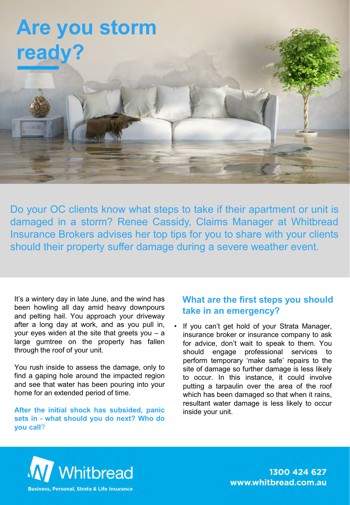### **Are you storm ready?**

Do your OC clients know what steps to take if their apartment or unit is damaged in a storm? Renee Cassidy, Claims Manager at Whitbread Insurance Brokers advises her top tips for you to share with your clients should their property suffer damage during a severe weather event.

It's a wintery day in late June, and the wind has been howling all day amid heavy downpours and pelting hail. You approach your driveway after a long day at work, and as you pull in, your eyes widen at the site that greets you – a large gumtree on the property has fallen through the roof of your unit.

You rush inside to assess the damage, only to find a gaping hole around the impacted region and see that water has been pouring into your home for an extended period of time.

**After the initial shock has subsided, panic sets in - what should you do next? Who do you call**?

#### **What are the first steps you should take in an emergency?**

If you can't get hold of your Strata Manager, insurance broker or insurance company to ask for advice, don't wait to speak to them. You should engage professional services to perform temporary 'make safe' repairs to the site of damage so further damage is less likely to occur. In this instance, it could involve putting a tarpaulin over the area of the roof which has been damaged so that when it rains, resultant water damage is less likely to occur inside your unit.



1300 424 627 www.whitbread.com.au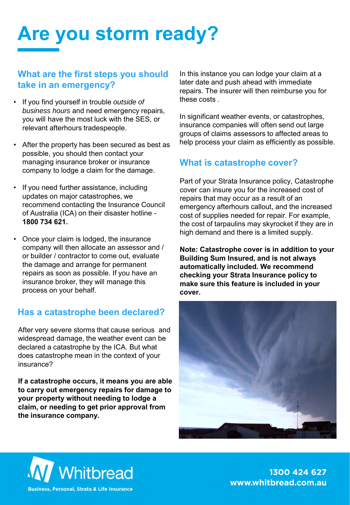# **Are you storm ready?**

#### **What are the first steps you should take in an emergency?**

- If you find yourself in trouble *outside of business hours* and need emergency repairs, you will have the most luck with the SES, or relevant afterhours tradespeople.
- After the property has been secured as best as possible, you should then contact your managing insurance broker or insurance company to lodge a claim for the damage.
- If you need further assistance, including updates on major catastrophes, we recommend contacting the Insurance Council of Australia (ICA) on their disaster hotline - **1800 734 621.**
- Once your claim is lodged, the insurance company will then allocate an assessor and / or builder / contractor to come out, evaluate the damage and arrange for permanent repairs as soon as possible. If you have an insurance broker, they will manage this process on your behalf.

#### **Has a catastrophe been declared?**

After very severe storms that cause serious and widespread damage, the weather event can be declared a catastrophe by the ICA. But what does catastrophe mean in the context of your insurance?

**If a catastrophe occurs, it means you are able to carry out emergency repairs for damage to your property without needing to lodge a claim, or needing to get prior approval from the insurance company.** 

In this instance you can lodge your claim at a later date and push ahead with immediate repairs. The insurer will then reimburse you for these costs .

In significant weather events, or catastrophes, insurance companies will often send out large groups of claims assessors to affected areas to help process your claim as efficiently as possible.

#### **What is catastrophe cover?**

Part of your Strata Insurance policy, Catastrophe cover can insure you for the increased cost of repairs that may occur as a result of an emergency afterhours callout, and the increased cost of supplies needed for repair. For example, the cost of tarpaulins may skyrocket if they are in high demand and there is a limited supply.

**Note: Catastrophe cover is in addition to your Building Sum Insured, and is not always automatically included. We recommend checking your Strata Insurance policy to make sure this feature is included in your cover.**





1300 424 627 www.whitbread.com.au